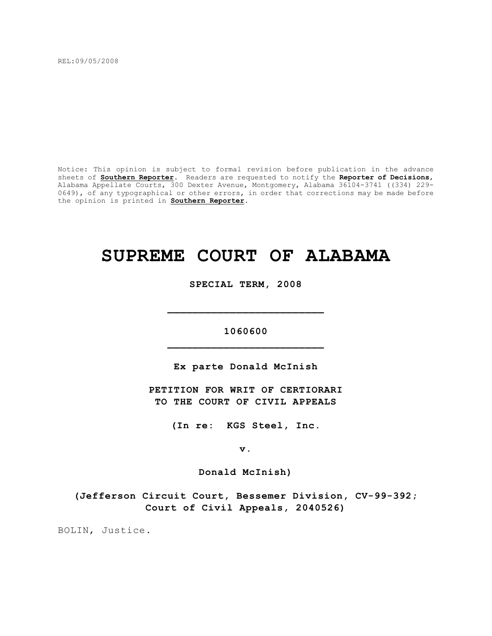REL:09/05/2008

Notice: This opinion is subject to formal revision before publication in the advance sheets of **Southern Reporter**. Readers are requested to notify the **Reporter of Decisions**, Alabama Appellate Courts, 300 Dexter Avenue, Montgomery, Alabama 36104-3741 ((334) 229- 0649), of any typographical or other errors, in order that corrections may be made before the opinion is printed in **Southern Reporter**.

# **SUPREME COURT OF ALABAMA**

**SPECIAL TERM, 2008**

**1060600 \_\_\_\_\_\_\_\_\_\_\_\_\_\_\_\_\_\_\_\_\_\_\_\_\_**

**\_\_\_\_\_\_\_\_\_\_\_\_\_\_\_\_\_\_\_\_\_\_\_\_\_**

**Ex parte Donald McInish**

**PETITION FOR WRIT OF CERTIORARI TO THE COURT OF CIVIL APPEALS**

**(In re: KGS Steel, Inc.**

**v.**

**Donald McInish)**

**(Jefferson Circuit Court, Bessemer Division, CV-99-392; Court of Civil Appeals, 2040526)**

BOLIN, Justice.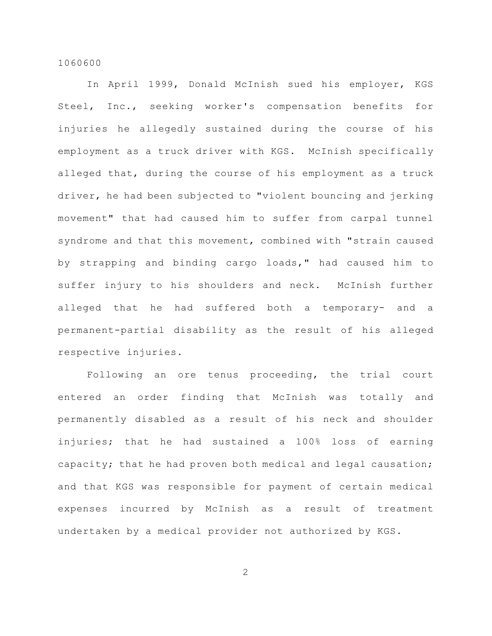In April 1999, Donald McInish sued his employer, KGS Steel, Inc., seeking worker's compensation benefits for injuries he allegedly sustained during the course of his employment as a truck driver with KGS. McInish specifically alleged that, during the course of his employment as a truck driver, he had been subjected to "violent bouncing and jerking movement" that had caused him to suffer from carpal tunnel syndrome and that this movement, combined with "strain caused by strapping and binding cargo loads," had caused him to suffer injury to his shoulders and neck. McInish further alleged that he had suffered both a temporary- and a permanent-partial disability as the result of his alleged respective injuries.

Following an ore tenus proceeding, the trial court entered an order finding that McInish was totally and permanently disabled as a result of his neck and shoulder injuries; that he had sustained a 100% loss of earning capacity; that he had proven both medical and legal causation; and that KGS was responsible for payment of certain medical expenses incurred by McInish as a result of treatment undertaken by a medical provider not authorized by KGS.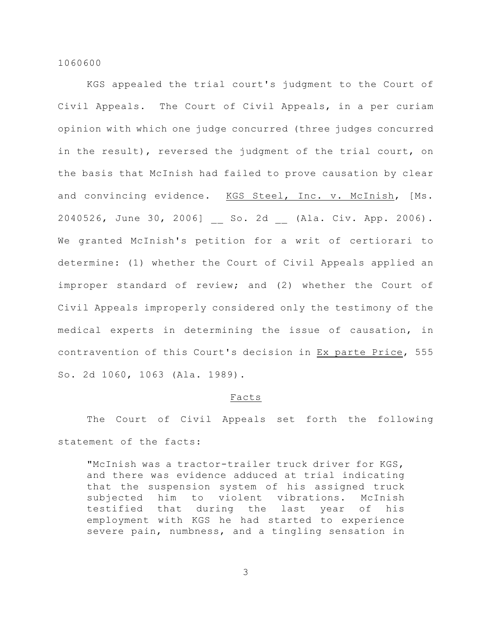KGS appealed the trial court's judgment to the Court of Civil Appeals. The Court of Civil Appeals, in a per curiam opinion with which one judge concurred (three judges concurred in the result), reversed the judgment of the trial court, on the basis that McInish had failed to prove causation by clear and convincing evidence. KGS Steel, Inc. v. McInish, [Ms. 2040526, June 30, 2006] So. 2d (Ala. Civ. App. 2006). We granted McInish's petition for a writ of certiorari to determine: (1) whether the Court of Civil Appeals applied an improper standard of review; and (2) whether the Court of Civil Appeals improperly considered only the testimony of the medical experts in determining the issue of causation, in contravention of this Court's decision in Ex parte Price, 555 So. 2d 1060, 1063 (Ala. 1989).

# Facts

The Court of Civil Appeals set forth the following statement of the facts:

"McInish was a tractor-trailer truck driver for KGS, and there was evidence adduced at trial indicating that the suspension system of his assigned truck subjected him to violent vibrations. McInish testified that during the last year of his employment with KGS he had started to experience severe pain, numbness, and a tingling sensation in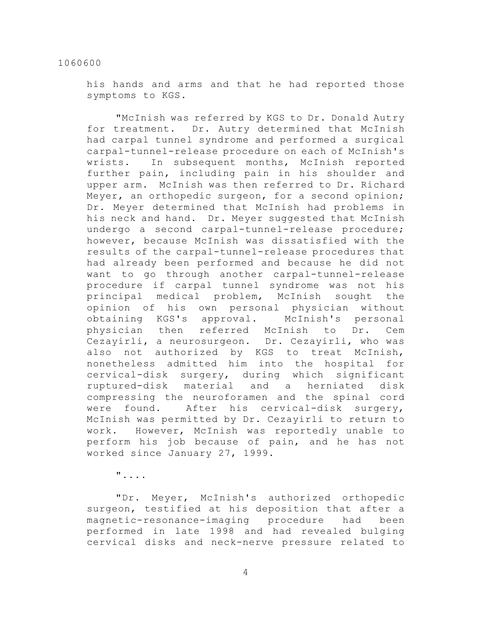his hands and arms and that he had reported those symptoms to KGS.

"McInish was referred by KGS to Dr. Donald Autry for treatment. Dr. Autry determined that McInish had carpal tunnel syndrome and performed a surgical carpal-tunnel-release procedure on each of McInish's wrists. In subsequent months, McInish reported further pain, including pain in his shoulder and upper arm. McInish was then referred to Dr. Richard Meyer, an orthopedic surgeon, for a second opinion; Dr. Meyer determined that McInish had problems in his neck and hand. Dr. Meyer suggested that McInish undergo a second carpal-tunnel-release procedure; however, because McInish was dissatisfied with the results of the carpal-tunnel-release procedures that had already been performed and because he did not want to go through another carpal-tunnel-release procedure if carpal tunnel syndrome was not his principal medical problem, McInish sought the opinion of his own personal physician without obtaining KGS's approval. McInish's personal physician then referred McInish to Dr. Cem Cezayirli, a neurosurgeon. Dr. Cezayirli, who was also not authorized by KGS to treat McInish, nonetheless admitted him into the hospital for cervical-disk surgery, during which significant ruptured-disk material and a herniated disk compressing the neuroforamen and the spinal cord were found. After his cervical-disk surgery, McInish was permitted by Dr. Cezayirli to return to work. However, McInish was reportedly unable to perform his job because of pain, and he has not worked since January 27, 1999.

"....

"Dr. Meyer, McInish's authorized orthopedic surgeon, testified at his deposition that after a magnetic-resonance-imaging procedure had been performed in late 1998 and had revealed bulging cervical disks and neck-nerve pressure related to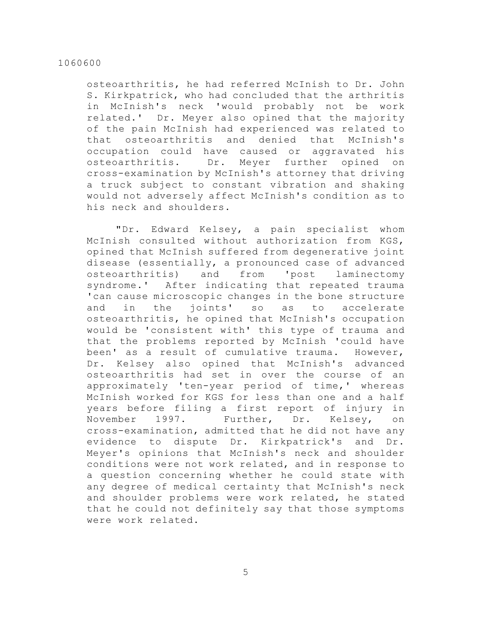osteoarthritis, he had referred McInish to Dr. John S. Kirkpatrick, who had concluded that the arthritis in McInish's neck 'would probably not be work related.' Dr. Meyer also opined that the majority of the pain McInish had experienced was related to that osteoarthritis and denied that McInish's occupation could have caused or aggravated his osteoarthritis. Dr. Meyer further opined on cross-examination by McInish's attorney that driving a truck subject to constant vibration and shaking would not adversely affect McInish's condition as to his neck and shoulders.

"Dr. Edward Kelsey, a pain specialist whom McInish consulted without authorization from KGS, opined that McInish suffered from degenerative joint disease (essentially, a pronounced case of advanced osteoarthritis) and from 'post laminectomy syndrome.' After indicating that repeated trauma 'can cause microscopic changes in the bone structure and in the joints' so as to accelerate osteoarthritis, he opined that McInish's occupation would be 'consistent with' this type of trauma and that the problems reported by McInish 'could have been' as a result of cumulative trauma. However, Dr. Kelsey also opined that McInish's advanced osteoarthritis had set in over the course of an approximately 'ten-year period of time,' whereas McInish worked for KGS for less than one and a half years before filing a first report of injury in November 1997. Further, Dr. Kelsey, on cross-examination, admitted that he did not have any evidence to dispute Dr. Kirkpatrick's and Dr. Meyer's opinions that McInish's neck and shoulder conditions were not work related, and in response to a question concerning whether he could state with any degree of medical certainty that McInish's neck and shoulder problems were work related, he stated that he could not definitely say that those symptoms were work related.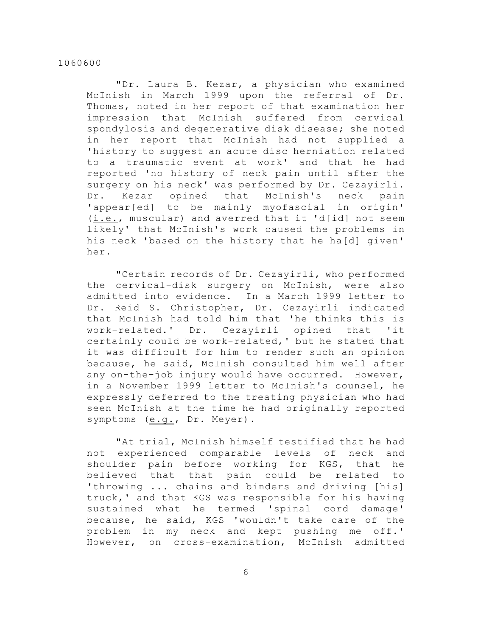"Dr. Laura B. Kezar, a physician who examined McInish in March 1999 upon the referral of Dr. Thomas, noted in her report of that examination her impression that McInish suffered from cervical spondylosis and degenerative disk disease; she noted in her report that McInish had not supplied a 'history to suggest an acute disc herniation related to a traumatic event at work' and that he had reported 'no history of neck pain until after the surgery on his neck' was performed by Dr. Cezayirli. Dr. Kezar opined that McInish's neck pain 'appear[ed] to be mainly myofascial in origin' (i.e., muscular) and averred that it 'd[id] not seem likely' that McInish's work caused the problems in his neck 'based on the history that he ha[d] given' her.

"Certain records of Dr. Cezayirli, who performed the cervical-disk surgery on McInish, were also admitted into evidence. In a March 1999 letter to Dr. Reid S. Christopher, Dr. Cezayirli indicated that McInish had told him that 'he thinks this is work-related.' Dr. Cezayirli opined that 'it certainly could be work-related,' but he stated that it was difficult for him to render such an opinion because, he said, McInish consulted him well after any on-the-job injury would have occurred. However, in a November 1999 letter to McInish's counsel, he expressly deferred to the treating physician who had seen McInish at the time he had originally reported symptoms (e.g., Dr. Meyer).

"At trial, McInish himself testified that he had not experienced comparable levels of neck and shoulder pain before working for KGS, that he believed that that pain could be related to 'throwing ... chains and binders and driving [his] truck,' and that KGS was responsible for his having sustained what he termed 'spinal cord damage' because, he said, KGS 'wouldn't take care of the problem in my neck and kept pushing me off.' However, on cross-examination, McInish admitted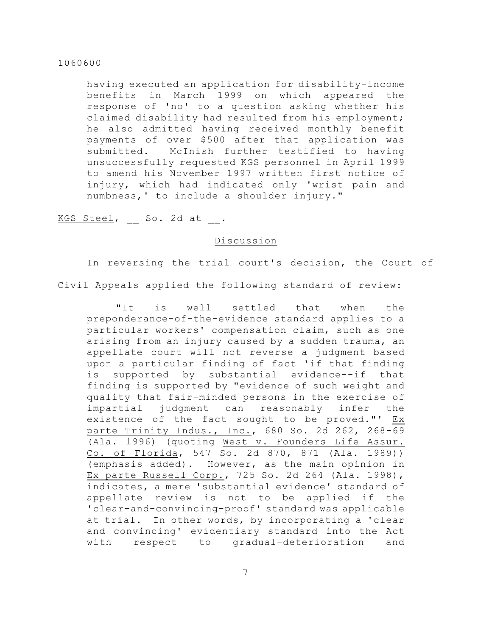having executed an application for disability-income benefits in March 1999 on which appeared the response of 'no' to a question asking whether his claimed disability had resulted from his employment; he also admitted having received monthly benefit payments of over \$500 after that application was submitted. McInish further testified to having unsuccessfully requested KGS personnel in April 1999 to amend his November 1997 written first notice of injury, which had indicated only 'wrist pain and numbness,' to include a shoulder injury."

KGS Steel, So. 2d at .

# Discussion

In reversing the trial court's decision, the Court of Civil Appeals applied the following standard of review:

"It is well settled that when the preponderance-of-the-evidence standard applies to a particular workers' compensation claim, such as one arising from an injury caused by a sudden trauma, an appellate court will not reverse a judgment based upon a particular finding of fact 'if that finding is supported by substantial evidence--if that finding is supported by "evidence of such weight and quality that fair-minded persons in the exercise of impartial judgment can reasonably infer the existence of the fact sought to be proved."' Ex parte Trinity Indus., Inc., 680 So. 2d 262, 268-69 (Ala. 1996) (quoting West v. Founders Life Assur. Co. of Florida, 547 So. 2d 870, 871 (Ala. 1989)) (emphasis added). However, as the main opinion in Ex parte Russell Corp., 725 So. 2d 264 (Ala. 1998), indicates, a mere 'substantial evidence' standard of appellate review is not to be applied if the 'clear-and-convincing-proof' standard was applicable at trial. In other words, by incorporating a 'clear and convincing' evidentiary standard into the Act with respect to gradual-deterioration and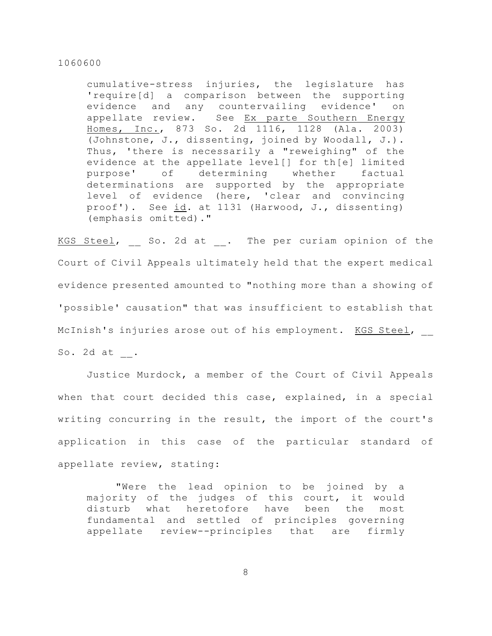cumulative-stress injuries, the legislature has 'require[d] a comparison between the supporting evidence and any countervailing evidence' on appellate review. See Ex parte Southern Energy Homes, Inc., 873 So. 2d 1116, 1128 (Ala. 2003) (Johnstone, J., dissenting, joined by Woodall, J.). Thus, 'there is necessarily a "reweighing" of the evidence at the appellate level[] for th[e] limited purpose' of determining whether factual determinations are supported by the appropriate level of evidence (here, 'clear and convincing proof'). See id. at 1131 (Harwood, J., dissenting) (emphasis omitted)."

KGS Steel, So. 2d at . The per curiam opinion of the Court of Civil Appeals ultimately held that the expert medical evidence presented amounted to "nothing more than a showing of 'possible' causation" that was insufficient to establish that McInish's injuries arose out of his employment. KGS Steel, \_\_ So. 2d at \_\_.

Justice Murdock, a member of the Court of Civil Appeals when that court decided this case, explained, in a special writing concurring in the result, the import of the court's application in this case of the particular standard of appellate review, stating:

"Were the lead opinion to be joined by a majority of the judges of this court, it would disturb what heretofore have been the most fundamental and settled of principles governing appellate review--principles that are firmly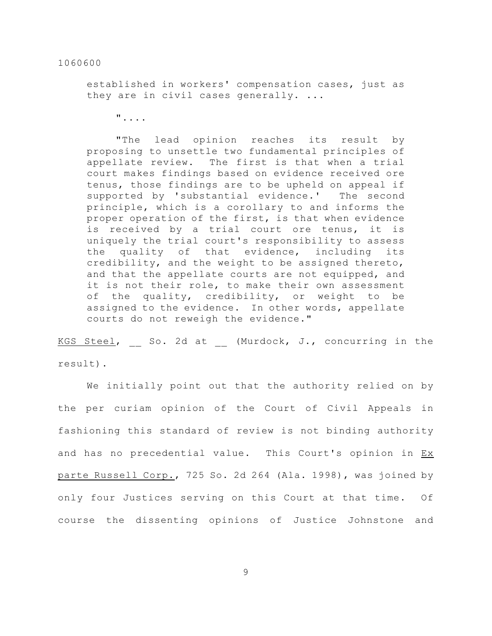established in workers' compensation cases, just as they are in civil cases generally. ...

"....

"The lead opinion reaches its result by proposing to unsettle two fundamental principles of appellate review. The first is that when a trial court makes findings based on evidence received ore tenus, those findings are to be upheld on appeal if supported by 'substantial evidence.' The second principle, which is a corollary to and informs the proper operation of the first, is that when evidence is received by a trial court ore tenus, it is uniquely the trial court's responsibility to assess the quality of that evidence, including its credibility, and the weight to be assigned thereto, and that the appellate courts are not equipped, and it is not their role, to make their own assessment of the quality, credibility, or weight to be assigned to the evidence. In other words, appellate courts do not reweigh the evidence."

KGS Steel, So. 2d at (Murdock, J., concurring in the result).

We initially point out that the authority relied on by the per curiam opinion of the Court of Civil Appeals in fashioning this standard of review is not binding authority and has no precedential value. This Court's opinion in Ex parte Russell Corp., 725 So. 2d 264 (Ala. 1998), was joined by only four Justices serving on this Court at that time. Of course the dissenting opinions of Justice Johnstone and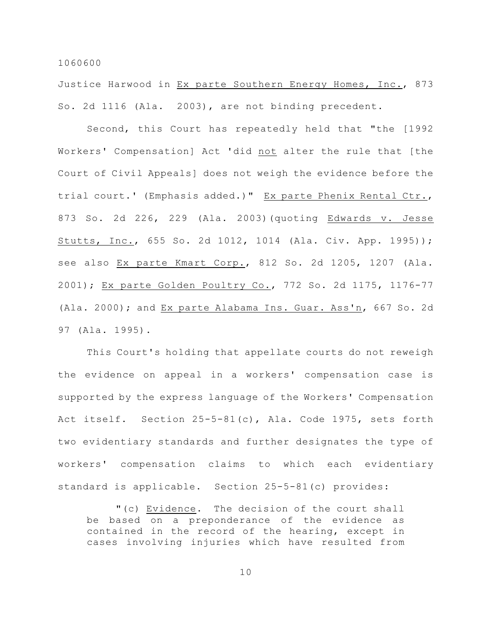Justice Harwood in Ex parte Southern Energy Homes, Inc., 873 So. 2d 1116 (Ala. 2003), are not binding precedent.

Second, this Court has repeatedly held that "the [1992 Workers' Compensation] Act 'did not alter the rule that [the Court of Civil Appeals] does not weigh the evidence before the trial court.' (Emphasis added.)" Ex parte Phenix Rental Ctr., 873 So. 2d 226, 229 (Ala. 2003)(quoting Edwards v. Jesse Stutts, Inc., 655 So. 2d 1012, 1014 (Ala. Civ. App. 1995)); see also Ex parte Kmart Corp., 812 So. 2d 1205, 1207 (Ala. 2001); Ex parte Golden Poultry Co., 772 So. 2d 1175, 1176-77 (Ala. 2000); and Ex parte Alabama Ins. Guar. Ass'n, 667 So. 2d 97 (Ala. 1995).

This Court's holding that appellate courts do not reweigh the evidence on appeal in a workers' compensation case is supported by the express language of the Workers' Compensation Act itself. Section 25-5-81(c), Ala. Code 1975, sets forth two evidentiary standards and further designates the type of workers' compensation claims to which each evidentiary standard is applicable. Section 25-5-81(c) provides:

"(c) Evidence. The decision of the court shall be based on a preponderance of the evidence as contained in the record of the hearing, except in cases involving injuries which have resulted from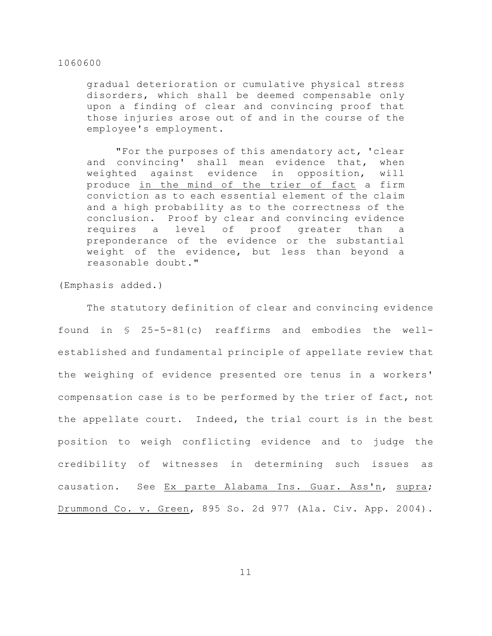gradual deterioration or cumulative physical stress disorders, which shall be deemed compensable only upon a finding of clear and convincing proof that those injuries arose out of and in the course of the employee's employment.

"For the purposes of this amendatory act, 'clear and convincing' shall mean evidence that, when weighted against evidence in opposition, will produce in the mind of the trier of fact a firm conviction as to each essential element of the claim and a high probability as to the correctness of the conclusion. Proof by clear and convincing evidence requires a level of proof greater than a preponderance of the evidence or the substantial weight of the evidence, but less than beyond a reasonable doubt."

(Emphasis added.)

The statutory definition of clear and convincing evidence found in § 25-5-81(c) reaffirms and embodies the wellestablished and fundamental principle of appellate review that the weighing of evidence presented ore tenus in a workers' compensation case is to be performed by the trier of fact, not the appellate court. Indeed, the trial court is in the best position to weigh conflicting evidence and to judge the credibility of witnesses in determining such issues as causation. See Ex parte Alabama Ins. Guar. Ass'n, supra; Drummond Co. v. Green, 895 So. 2d 977 (Ala. Civ. App. 2004).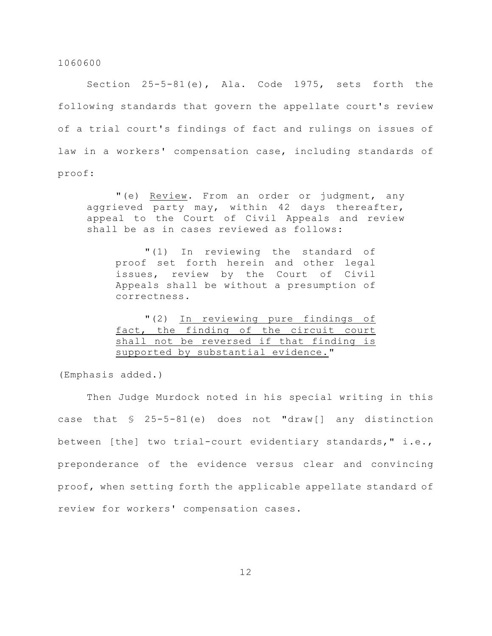Section 25-5-81(e), Ala. Code 1975, sets forth the following standards that govern the appellate court's review of a trial court's findings of fact and rulings on issues of law in a workers' compensation case, including standards of proof:

"(e) Review. From an order or judgment, any aggrieved party may, within 42 days thereafter, appeal to the Court of Civil Appeals and review shall be as in cases reviewed as follows:

"(1) In reviewing the standard of proof set forth herein and other legal issues, review by the Court of Civil Appeals shall be without a presumption of correctness.

|  | "(2) In reviewing pure findings of       |  |  |  |
|--|------------------------------------------|--|--|--|
|  | fact, the finding of the circuit court   |  |  |  |
|  | shall not be reversed if that finding is |  |  |  |
|  | supported by substantial evidence."      |  |  |  |

(Emphasis added.)

Then Judge Murdock noted in his special writing in this case that § 25-5-81(e) does not "draw[] any distinction between [the] two trial-court evidentiary standards," i.e., preponderance of the evidence versus clear and convincing proof, when setting forth the applicable appellate standard of review for workers' compensation cases.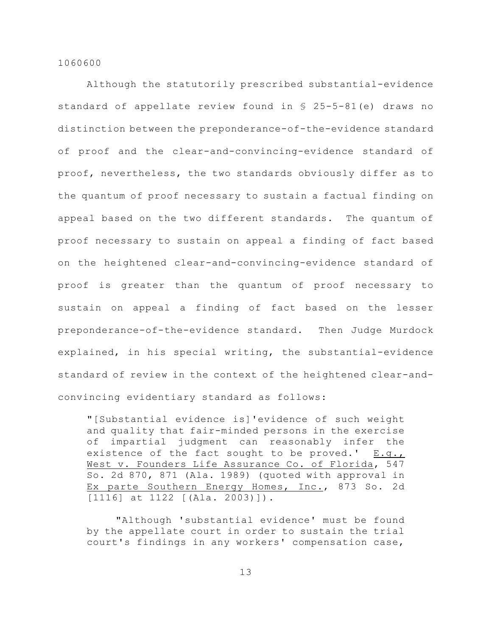Although the statutorily prescribed substantial-evidence standard of appellate review found in § 25-5-81(e) draws no distinction between the preponderance-of-the-evidence standard of proof and the clear-and-convincing-evidence standard of proof, nevertheless, the two standards obviously differ as to the quantum of proof necessary to sustain a factual finding on appeal based on the two different standards. The quantum of proof necessary to sustain on appeal a finding of fact based on the heightened clear-and-convincing-evidence standard of proof is greater than the quantum of proof necessary to sustain on appeal a finding of fact based on the lesser preponderance-of-the-evidence standard. Then Judge Murdock explained, in his special writing, the substantial-evidence standard of review in the context of the heightened clear-andconvincing evidentiary standard as follows:

"[Substantial evidence is]'evidence of such weight and quality that fair-minded persons in the exercise of impartial judgment can reasonably infer the existence of the fact sought to be proved.'  $E.q._1$ West v. Founders Life Assurance Co. of Florida, 547 So. 2d 870, 871 (Ala. 1989) (quoted with approval in Ex parte Southern Energy Homes, Inc., 873 So. 2d [1116] at 1122 [(Ala. 2003)]).

"Although 'substantial evidence' must be found by the appellate court in order to sustain the trial court's findings in any workers' compensation case,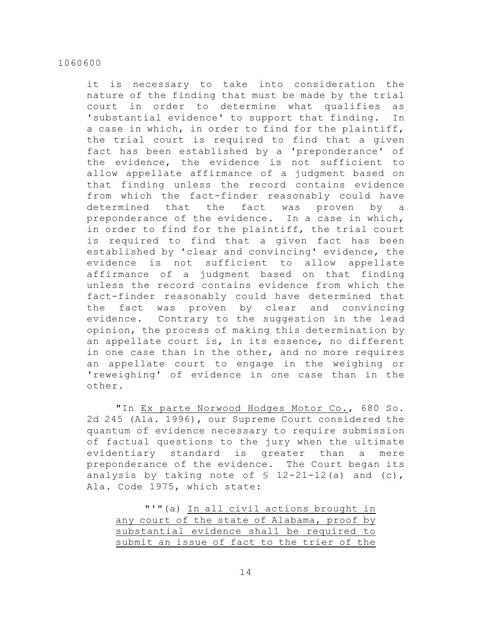it is necessary to take into consideration the nature of the finding that must be made by the trial court in order to determine what qualifies as 'substantial evidence' to support that finding. In a case in which, in order to find for the plaintiff, the trial court is required to find that a given fact has been established by a 'preponderance' of the evidence, the evidence is not sufficient to allow appellate affirmance of a judgment based on that finding unless the record contains evidence from which the fact-finder reasonably could have determined that the fact was proven by a preponderance of the evidence. In a case in which, in order to find for the plaintiff, the trial court is required to find that a given fact has been established by 'clear and convincing' evidence, the evidence is not sufficient to allow appellate affirmance of a judgment based on that finding unless the record contains evidence from which the fact-finder reasonably could have determined that the fact was proven by clear and convincing evidence. Contrary to the suggestion in the lead opinion, the process of making this determination by an appellate court is, in its essence, no different in one case than in the other, and no more requires an appellate court to engage in the weighing or 'reweighing' of evidence in one case than in the other.

"In Ex parte Norwood Hodges Motor Co., 680 So. 2d 245 (Ala. 1996), our Supreme Court considered the quantum of evidence necessary to require submission of factual questions to the jury when the ultimate evidentiary standard is greater than a mere preponderance of the evidence. The Court began its analysis by taking note of  $\frac{12-21-12}{a}$  and (c), Ala. Code 1975, which state:

|                                             |  |  |  | "'"(a) In all civil actions brought in |  |  |
|---------------------------------------------|--|--|--|----------------------------------------|--|--|
| any court of the state of Alabama, proof by |  |  |  |                                        |  |  |
| substantial evidence shall be required to   |  |  |  |                                        |  |  |
| submit an issue of fact to the trier of the |  |  |  |                                        |  |  |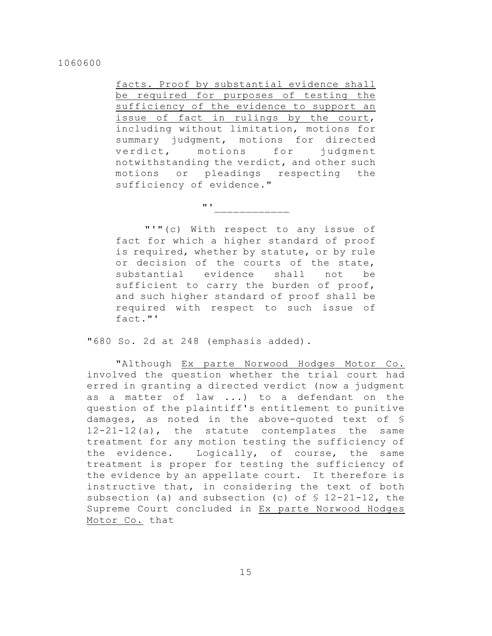facts. Proof by substantial evidence shall be required for purposes of testing the sufficiency of the evidence to support an issue of fact in rulings by the court, including without limitation, motions for summary judgment, motions for directed verdict, motions for judgment notwithstanding the verdict, and other such motions or pleadings respecting the sufficiency of evidence."

"'"(c) With respect to any issue of fact for which a higher standard of proof is required, whether by statute, or by rule or decision of the courts of the state, substantial evidence shall not be sufficient to carry the burden of proof, and such higher standard of proof shall be required with respect to such issue of fact."'

"'\_\_\_\_\_\_\_\_\_\_\_\_

"680 So. 2d at 248 (emphasis added).

"Although Ex parte Norwood Hodges Motor Co. involved the question whether the trial court had erred in granting a directed verdict (now a judgment as a matter of law ...) to a defendant on the question of the plaintiff's entitlement to punitive damages, as noted in the above-quoted text of § 12-21-12(a), the statute contemplates the same treatment for any motion testing the sufficiency of the evidence. Logically, of course, the same treatment is proper for testing the sufficiency of the evidence by an appellate court. It therefore is instructive that, in considering the text of both subsection (a) and subsection (c) of  $$ 12-21-12$ , the Supreme Court concluded in Ex parte Norwood Hodges Motor Co. that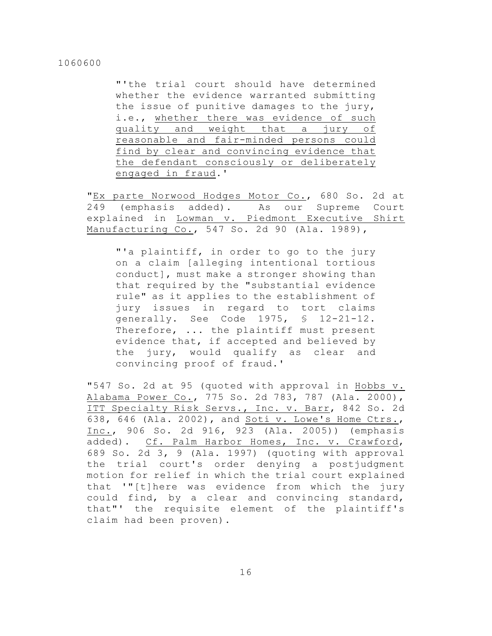"'the trial court should have determined whether the evidence warranted submitting the issue of punitive damages to the jury, i.e., whether there was evidence of such quality and weight that a jury of reasonable and fair-minded persons could find by clear and convincing evidence that the defendant consciously or deliberately engaged in fraud.'

"Ex parte Norwood Hodges Motor Co., 680 So. 2d at 249 (emphasis added). As our Supreme Court explained in Lowman v. Piedmont Executive Shirt Manufacturing Co., 547 So. 2d 90 (Ala. 1989),

"'a plaintiff, in order to go to the jury on a claim [alleging intentional tortious conduct], must make a stronger showing than that required by the "substantial evidence rule" as it applies to the establishment of jury issues in regard to tort claims generally. See Code 1975, § 12-21-12. Therefore, ... the plaintiff must present evidence that, if accepted and believed by the jury, would qualify as clear and convincing proof of fraud.'

"547 So. 2d at 95 (quoted with approval in Hobbs v. Alabama Power Co., 775 So. 2d 783, 787 (Ala. 2000), ITT Specialty Risk Servs., Inc. v. Barr, 842 So. 2d 638, 646 (Ala. 2002), and Soti v. Lowe's Home Ctrs., Inc., 906 So. 2d 916, 923 (Ala. 2005)) (emphasis added). Cf. Palm Harbor Homes, Inc. v. Crawford, 689 So. 2d 3, 9 (Ala. 1997) (quoting with approval the trial court's order denying a postjudgment motion for relief in which the trial court explained that '"[t]here was evidence from which the jury could find, by a clear and convincing standard, that"' the requisite element of the plaintiff's claim had been proven).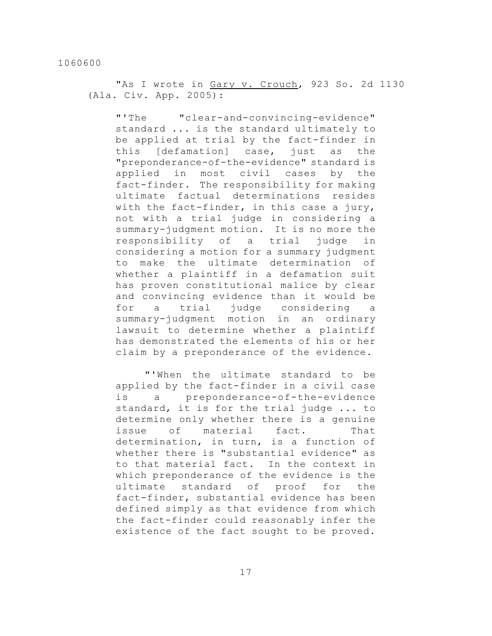"As I wrote in Gary v. Crouch, 923 So. 2d 1130 (Ala. Civ. App. 2005):

"'The "clear-and-convincing-evidence" standard ... is the standard ultimately to be applied at trial by the fact-finder in this [defamation] case, just as the "preponderance-of-the-evidence" standard is applied in most civil cases by the fact-finder. The responsibility for making ultimate factual determinations resides with the fact-finder, in this case a jury, not with a trial judge in considering a summary-judgment motion. It is no more the responsibility of a trial judge in considering a motion for a summary judgment to make the ultimate determination of whether a plaintiff in a defamation suit has proven constitutional malice by clear and convincing evidence than it would be for a trial judge considering a summary-judgment motion in an ordinary lawsuit to determine whether a plaintiff has demonstrated the elements of his or her claim by a preponderance of the evidence.

"'When the ultimate standard to be applied by the fact-finder in a civil case is a preponderance-of-the-evidence standard, it is for the trial judge ... to determine only whether there is a genuine issue of material fact. That determination, in turn, is a function of whether there is "substantial evidence" as to that material fact. In the context in which preponderance of the evidence is the ultimate standard of proof for the fact-finder, substantial evidence has been defined simply as that evidence from which the fact-finder could reasonably infer the existence of the fact sought to be proved.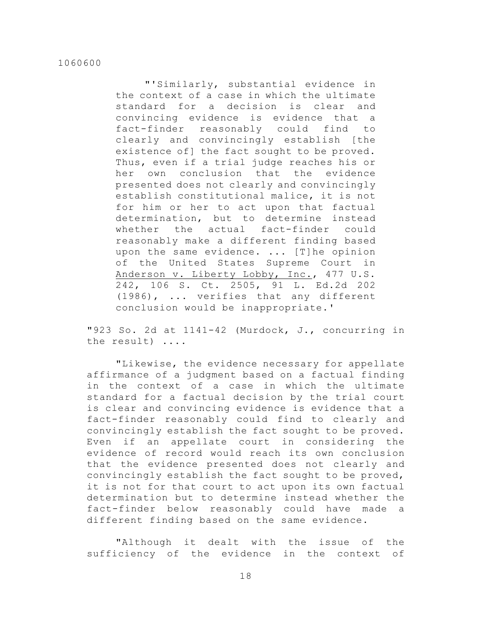"'Similarly, substantial evidence in the context of a case in which the ultimate standard for a decision is clear and convincing evidence is evidence that a fact-finder reasonably could find to clearly and convincingly establish [the existence of] the fact sought to be proved. Thus, even if a trial judge reaches his or her own conclusion that the evidence presented does not clearly and convincingly establish constitutional malice, it is not for him or her to act upon that factual determination, but to determine instead whether the actual fact-finder could reasonably make a different finding based upon the same evidence. ... [T]he opinion of the United States Supreme Court in Anderson v. Liberty Lobby, Inc., 477 U.S. 242, 106 S. Ct. 2505, 91 L. Ed.2d 202 (1986), ... verifies that any different conclusion would be inappropriate.'

"923 So. 2d at 1141-42 (Murdock, J., concurring in the result) ....

"Likewise, the evidence necessary for appellate affirmance of a judgment based on a factual finding in the context of a case in which the ultimate standard for a factual decision by the trial court is clear and convincing evidence is evidence that a fact-finder reasonably could find to clearly and convincingly establish the fact sought to be proved. Even if an appellate court in considering the evidence of record would reach its own conclusion that the evidence presented does not clearly and convincingly establish the fact sought to be proved, it is not for that court to act upon its own factual determination but to determine instead whether the fact-finder below reasonably could have made a different finding based on the same evidence.

"Although it dealt with the issue of the sufficiency of the evidence in the context of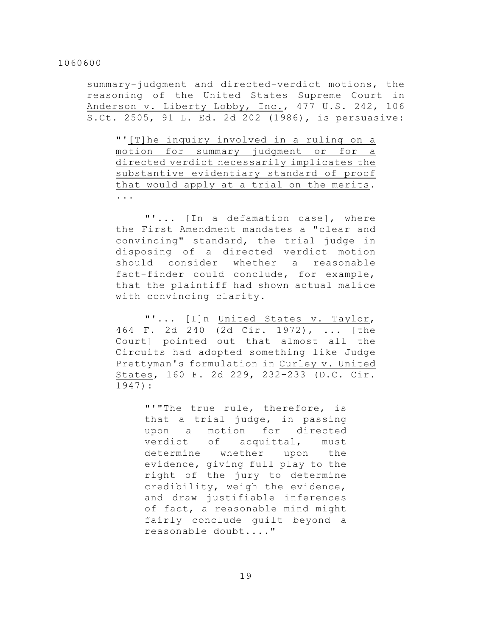summary-judgment and directed-verdict motions, the reasoning of the United States Supreme Court in Anderson v. Liberty Lobby, Inc., 477 U.S. 242, 106 S.Ct. 2505, 91 L. Ed. 2d 202 (1986), is persuasive:

"'[T]he inquiry involved in a ruling on a motion for summary judgment or for a directed verdict necessarily implicates the substantive evidentiary standard of proof that would apply at a trial on the merits. ...

"'... [In a defamation case], where the First Amendment mandates a "clear and convincing" standard, the trial judge in disposing of a directed verdict motion should consider whether a reasonable fact-finder could conclude, for example, that the plaintiff had shown actual malice with convincing clarity.

"'... [I]n United States v. Taylor, 464 F. 2d 240 (2d Cir. 1972), ... [the Court] pointed out that almost all the Circuits had adopted something like Judge Prettyman's formulation in Curley v. United States, 160 F. 2d 229, 232-233 (D.C. Cir. 1947):

> "'"The true rule, therefore, is that a trial judge, in passing upon a motion for directed verdict of acquittal, must determine whether upon the evidence, giving full play to the right of the jury to determine credibility, weigh the evidence, and draw justifiable inferences of fact, a reasonable mind might fairly conclude guilt beyond a reasonable doubt...."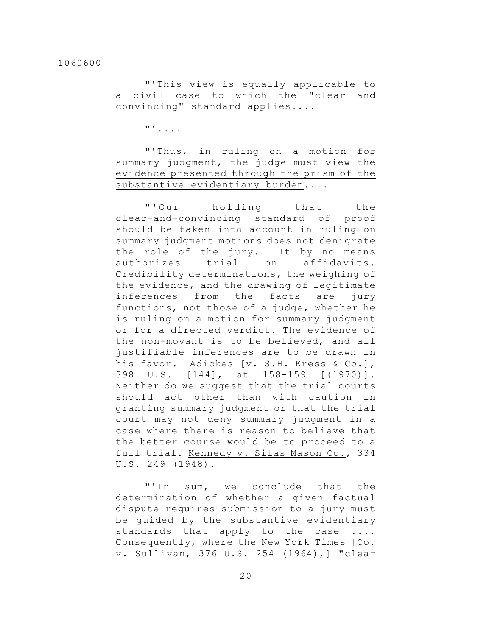"'This view is equally applicable to a civil case to which the "clear and convincing" standard applies....

"'....

"'Thus, in ruling on a motion for summary judgment, the judge must view the evidence presented through the prism of the substantive evidentiary burden....

"'Our holding that the clear-and-convincing standard of proof should be taken into account in ruling on summary judgment motions does not denigrate the role of the jury. It by no means authorizes trial on affidavits. Credibility determinations, the weighing of the evidence, and the drawing of legitimate inferences from the facts are jury functions, not those of a judge, whether he is ruling on a motion for summary judgment or for a directed verdict. The evidence of the non-movant is to be believed, and all justifiable inferences are to be drawn in his favor. Adickes [v. S.H. Kress & Co.], 398 U.S. [144], at 158-159 [(1970)]. Neither do we suggest that the trial courts should act other than with caution in granting summary judgment or that the trial court may not deny summary judgment in a case where there is reason to believe that the better course would be to proceed to a full trial. Kennedy v. Silas Mason Co., 334 U.S. 249 (1948).

"'In sum, we conclude that the determination of whether a given factual dispute requires submission to a jury must be guided by the substantive evidentiary standards that apply to the case .... Consequently, where the New York Times [Co. v. Sullivan, 376 U.S. 254 (1964),] "clear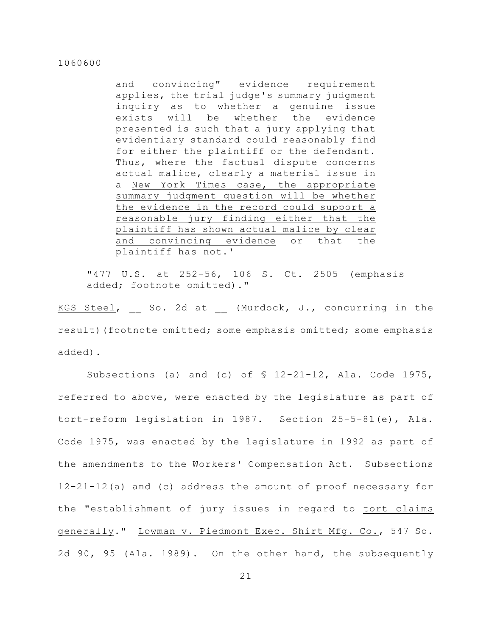and convincing" evidence requirement applies, the trial judge's summary judgment inquiry as to whether a genuine issue exists will be whether the evidence presented is such that a jury applying that evidentiary standard could reasonably find for either the plaintiff or the defendant. Thus, where the factual dispute concerns actual malice, clearly a material issue in a New York Times case, the appropriate summary judgment question will be whether the evidence in the record could support a reasonable jury finding either that the plaintiff has shown actual malice by clear and convincing evidence or that the plaintiff has not.'

"477 U.S. at 252-56, 106 S. Ct. 2505 (emphasis added; footnote omitted)."

KGS Steel, So. 2d at (Murdock, J., concurring in the result)(footnote omitted; some emphasis omitted; some emphasis added).

Subsections (a) and (c) of  $\frac{12-21-12}{12}$ , Ala. Code 1975, referred to above, were enacted by the legislature as part of tort-reform legislation in 1987. Section 25-5-81(e), Ala. Code 1975, was enacted by the legislature in 1992 as part of the amendments to the Workers' Compensation Act. Subsections 12-21-12(a) and (c) address the amount of proof necessary for the "establishment of jury issues in regard to tort claims generally." Lowman v. Piedmont Exec. Shirt Mfg. Co., 547 So. 2d 90, 95 (Ala. 1989). On the other hand, the subsequently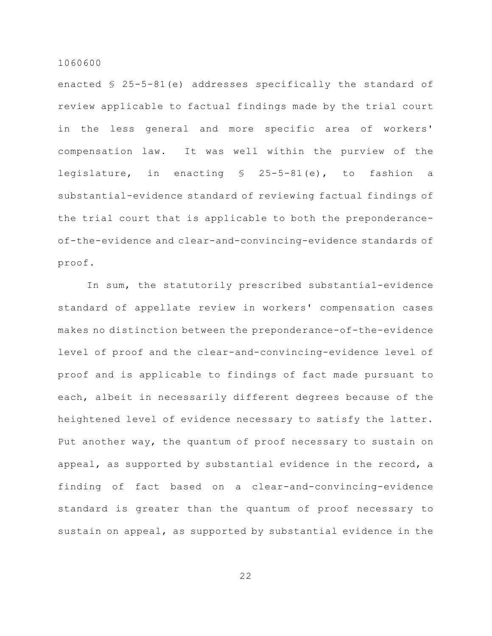enacted § 25-5-81(e) addresses specifically the standard of review applicable to factual findings made by the trial court in the less general and more specific area of workers' compensation law. It was well within the purview of the legislature, in enacting § 25-5-81(e), to fashion a substantial-evidence standard of reviewing factual findings of the trial court that is applicable to both the preponderanceof-the-evidence and clear-and-convincing-evidence standards of proof.

In sum, the statutorily prescribed substantial-evidence standard of appellate review in workers' compensation cases makes no distinction between the preponderance-of-the-evidence level of proof and the clear-and-convincing-evidence level of proof and is applicable to findings of fact made pursuant to each, albeit in necessarily different degrees because of the heightened level of evidence necessary to satisfy the latter. Put another way, the quantum of proof necessary to sustain on appeal, as supported by substantial evidence in the record, a finding of fact based on a clear-and-convincing-evidence standard is greater than the quantum of proof necessary to sustain on appeal, as supported by substantial evidence in the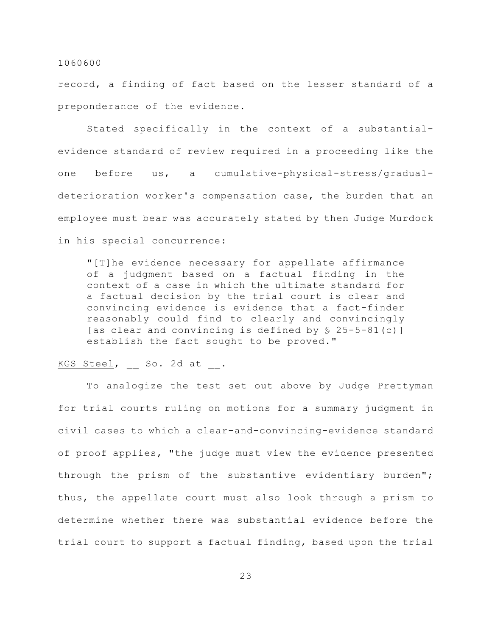record, a finding of fact based on the lesser standard of a preponderance of the evidence.

Stated specifically in the context of a substantialevidence standard of review required in a proceeding like the one before us, a cumulative-physical-stress/gradualdeterioration worker's compensation case, the burden that an employee must bear was accurately stated by then Judge Murdock in his special concurrence:

"[T]he evidence necessary for appellate affirmance of a judgment based on a factual finding in the context of a case in which the ultimate standard for a factual decision by the trial court is clear and convincing evidence is evidence that a fact-finder reasonably could find to clearly and convincingly [as clear and convincing is defined by § 25-5-81(c)] establish the fact sought to be proved."

# KGS Steel, So. 2d at .

To analogize the test set out above by Judge Prettyman for trial courts ruling on motions for a summary judgment in civil cases to which a clear-and-convincing-evidence standard of proof applies, "the judge must view the evidence presented through the prism of the substantive evidentiary burden"; thus, the appellate court must also look through a prism to determine whether there was substantial evidence before the trial court to support a factual finding, based upon the trial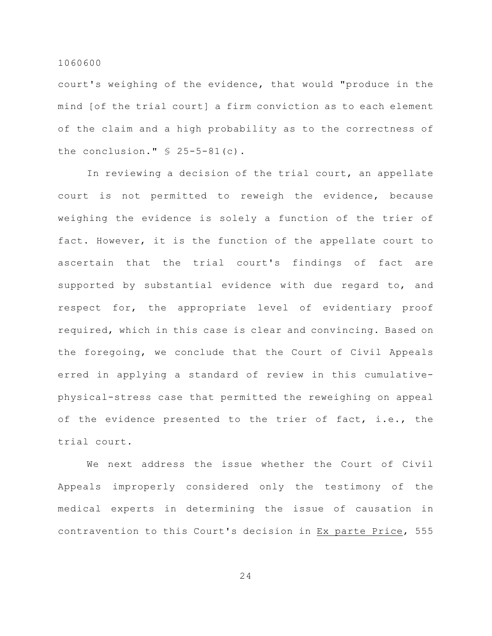court's weighing of the evidence, that would "produce in the mind [of the trial court] a firm conviction as to each element of the claim and a high probability as to the correctness of the conclusion."  $$ 25-5-81(c)$ .

In reviewing a decision of the trial court, an appellate court is not permitted to reweigh the evidence, because weighing the evidence is solely a function of the trier of fact. However, it is the function of the appellate court to ascertain that the trial court's findings of fact are supported by substantial evidence with due regard to, and respect for, the appropriate level of evidentiary proof required, which in this case is clear and convincing. Based on the foregoing, we conclude that the Court of Civil Appeals erred in applying a standard of review in this cumulativephysical-stress case that permitted the reweighing on appeal of the evidence presented to the trier of fact, i.e., the trial court.

We next address the issue whether the Court of Civil Appeals improperly considered only the testimony of the medical experts in determining the issue of causation in contravention to this Court's decision in Ex parte Price, 555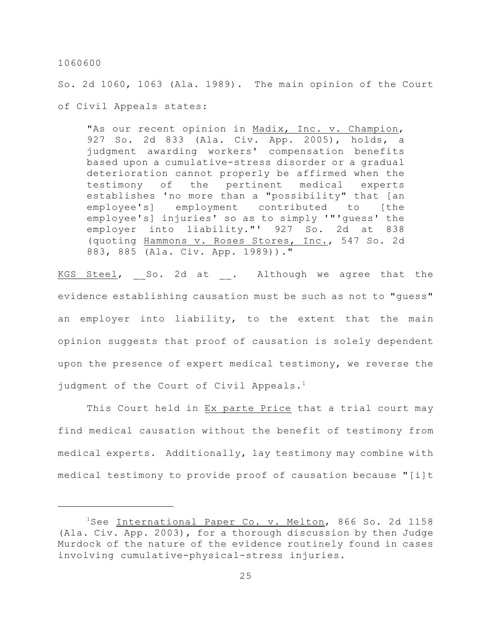So. 2d 1060, 1063 (Ala. 1989). The main opinion of the Court of Civil Appeals states:

"As our recent opinion in Madix, Inc. v. Champion, 927 So. 2d 833 (Ala. Civ. App. 2005), holds, a judgment awarding workers' compensation benefits based upon a cumulative-stress disorder or a gradual deterioration cannot properly be affirmed when the testimony of the pertinent medical experts establishes 'no more than a "possibility" that [an employee's] employment contributed to [the employee's] injuries' so as to simply '"'guess' the employer into liability."' 927 So. 2d at 838 (quoting Hammons v. Roses Stores, Inc., 547 So. 2d 883, 885 (Ala. Civ. App. 1989))."

KGS Steel, So. 2d at . Although we agree that the evidence establishing causation must be such as not to "guess" an employer into liability, to the extent that the main opinion suggests that proof of causation is solely dependent upon the presence of expert medical testimony, we reverse the judgment of the Court of Civil Appeals.<sup>1</sup>

This Court held in Ex parte Price that a trial court may find medical causation without the benefit of testimony from medical experts. Additionally, lay testimony may combine with medical testimony to provide proof of causation because "[i]t

 $1$ See International Paper Co. v. Melton, 866 So. 2d 1158 (Ala. Civ. App. 2003), for a thorough discussion by then Judge Murdock of the nature of the evidence routinely found in cases involving cumulative-physical-stress injuries.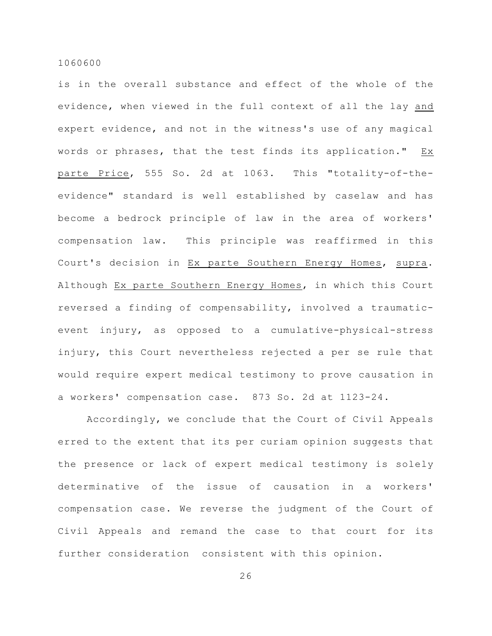is in the overall substance and effect of the whole of the evidence, when viewed in the full context of all the lay and expert evidence, and not in the witness's use of any magical words or phrases, that the test finds its application." Ex parte Price, 555 So. 2d at 1063. This "totality-of-theevidence" standard is well established by caselaw and has become a bedrock principle of law in the area of workers' compensation law. This principle was reaffirmed in this Court's decision in Ex parte Southern Energy Homes, supra. Although Ex parte Southern Energy Homes, in which this Court reversed a finding of compensability, involved a traumaticevent injury, as opposed to a cumulative-physical-stress injury, this Court nevertheless rejected a per se rule that would require expert medical testimony to prove causation in a workers' compensation case. 873 So. 2d at 1123-24.

Accordingly, we conclude that the Court of Civil Appeals erred to the extent that its per curiam opinion suggests that the presence or lack of expert medical testimony is solely determinative of the issue of causation in a workers' compensation case. We reverse the judgment of the Court of Civil Appeals and remand the case to that court for its further consideration consistent with this opinion.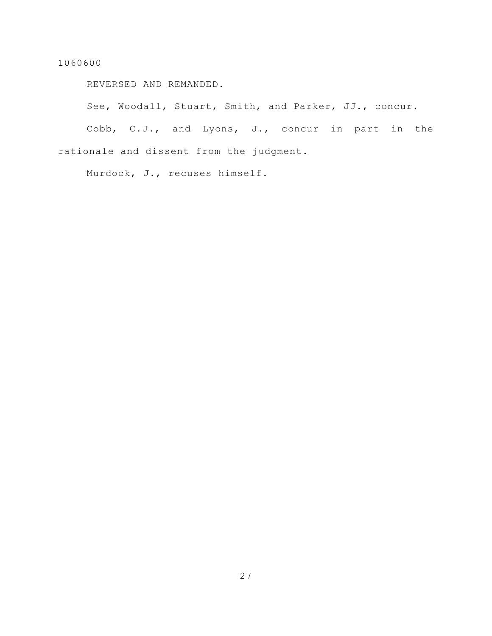REVERSED AND REMANDED.

See, Woodall, Stuart, Smith, and Parker, JJ., concur.

Cobb, C.J., and Lyons, J., concur in part in the rationale and dissent from the judgment.

Murdock, J., recuses himself.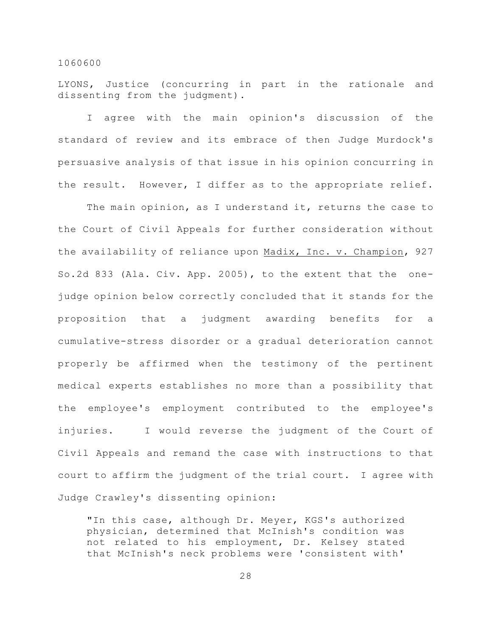LYONS, Justice (concurring in part in the rationale and dissenting from the judgment).

I agree with the main opinion's discussion of the standard of review and its embrace of then Judge Murdock's persuasive analysis of that issue in his opinion concurring in the result. However, I differ as to the appropriate relief.

The main opinion, as I understand it, returns the case to the Court of Civil Appeals for further consideration without the availability of reliance upon Madix, Inc. v. Champion, 927 So.2d 833 (Ala. Civ. App. 2005), to the extent that the onejudge opinion below correctly concluded that it stands for the proposition that a judgment awarding benefits for a cumulative-stress disorder or a gradual deterioration cannot properly be affirmed when the testimony of the pertinent medical experts establishes no more than a possibility that the employee's employment contributed to the employee's injuries. I would reverse the judgment of the Court of Civil Appeals and remand the case with instructions to that court to affirm the judgment of the trial court. I agree with Judge Crawley's dissenting opinion:

"In this case, although Dr. Meyer, KGS's authorized physician, determined that McInish's condition was not related to his employment, Dr. Kelsey stated that McInish's neck problems were 'consistent with'